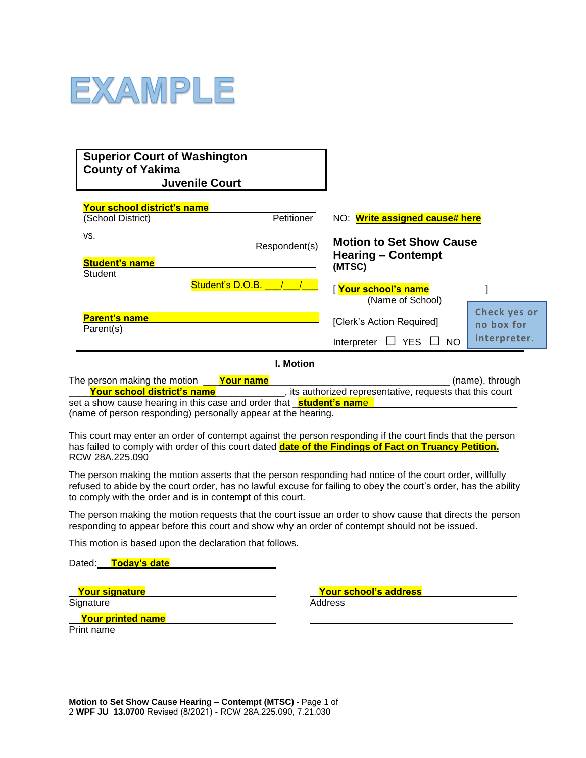

| <b>Superior Court of Washington</b><br><b>County of Yakima</b><br><b>Juvenile Court</b> |                                                                        |                                            |
|-----------------------------------------------------------------------------------------|------------------------------------------------------------------------|--------------------------------------------|
| Your school district's name                                                             |                                                                        |                                            |
| <b>Petitioner</b><br>(School District)                                                  | NO: Write assigned cause# here                                         |                                            |
| VS.<br>Respondent(s)<br><b>Student's name</b>                                           | <b>Motion to Set Show Cause</b><br><b>Hearing – Contempt</b><br>(MTSC) |                                            |
| Student<br>Student's D.O.B.                                                             | <u>  <mark>Your school's name</mark></u><br>(Name of School)           |                                            |
| <b>Parent's name</b><br>Parent(s)                                                       | [Clerk's Action Required]<br><b>YES</b><br>$\Box$ No<br>Interpreter    | Check yes or<br>no box for<br>interpreter. |

**I. Motion**

| The person making the motion                                                | Your name |                                                           | (name), through |
|-----------------------------------------------------------------------------|-----------|-----------------------------------------------------------|-----------------|
| <u>Your school district's name</u>                                          |           | , its authorized representative, requests that this court |                 |
| set a show cause hearing in this case and order that <b>_student's name</b> |           |                                                           |                 |

(name of person responding) personally appear at the hearing.

This court may enter an order of contempt against the person responding if the court finds that the person has failed to comply with order of this court dated **date of the Findings of Fact on Truancy Petition.** RCW 28A.225.090

The person making the motion asserts that the person responding had notice of the court order, willfully refused to abide by the court order, has no lawful excuse for failing to obey the court's order, has the ability to comply with the order and is in contempt of this court.

The person making the motion requests that the court issue an order to show cause that directs the person responding to appear before this court and show why an order of contempt should not be issued.

This motion is based upon the declaration that follows.

Dated: **Today's date**

Signature

**Your signature Your school's address**

**Your printed name** Print name

**Motion to Set Show Cause Hearing – Contempt (MTSC)** - Page 1 of

2 **WPF JU 13.0700** Revised (8/2021) - RCW 28A.225.090, 7.21.030